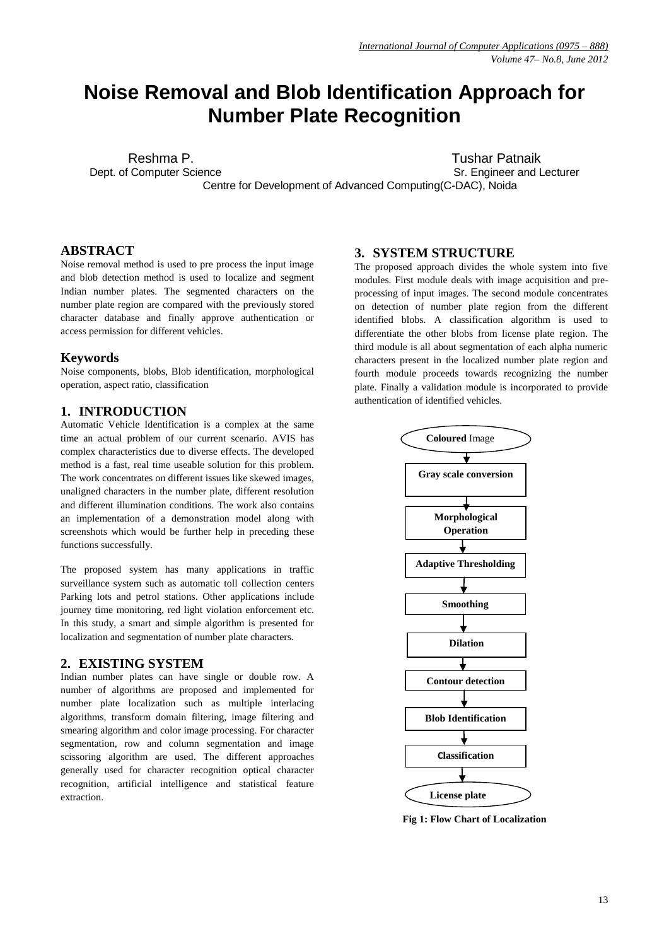# **Noise Removal and Blob Identification Approach for Number Plate Recognition**

Dept. of Computer Science Same State Science Sr. Engineer and Lecturer

Reshma P. **Tushar Patnaik** 

Centre for Development of Advanced Computing(C-DAC), Noida

# **ABSTRACT**

Noise removal method is used to pre process the input image and blob detection method is used to localize and segment Indian number plates. The segmented characters on the number plate region are compared with the previously stored character database and finally approve authentication or access permission for different vehicles.

#### **Keywords**

Noise components, blobs, Blob identification, morphological operation, aspect ratio, classification

## **1. INTRODUCTION**

Automatic Vehicle Identification is a complex at the same time an actual problem of our current scenario. AVIS has complex characteristics due to diverse effects. The developed method is a fast, real time useable solution for this problem. The work concentrates on different issues like skewed images, unaligned characters in the number plate, different resolution and different illumination conditions. The work also contains an implementation of a demonstration model along with screenshots which would be further help in preceding these functions successfully.

The proposed system has many applications in traffic surveillance system such as automatic toll collection centers Parking lots and petrol stations. Other applications include journey time monitoring, red light violation enforcement etc. In this study, a smart and simple algorithm is presented for localization and segmentation of number plate characters.

### **2. EXISTING SYSTEM**

Indian number plates can have single or double row. A number of algorithms are proposed and implemented for number plate localization such as multiple interlacing algorithms, transform domain filtering, image filtering and smearing algorithm and color image processing. For character segmentation, row and column segmentation and image scissoring algorithm are used. The different approaches generally used for character recognition optical character recognition, artificial intelligence and statistical feature extraction.

### **3. SYSTEM STRUCTURE**

The proposed approach divides the whole system into five modules. First module deals with image acquisition and preprocessing of input images. The second module concentrates on detection of number plate region from the different identified blobs. A classification algorithm is used to differentiate the other blobs from license plate region. The third module is all about segmentation of each alpha numeric characters present in the localized number plate region and fourth module proceeds towards recognizing the number plate. Finally a validation module is incorporated to provide authentication of identified vehicles.



 **Fig 1: Flow Chart of Localization**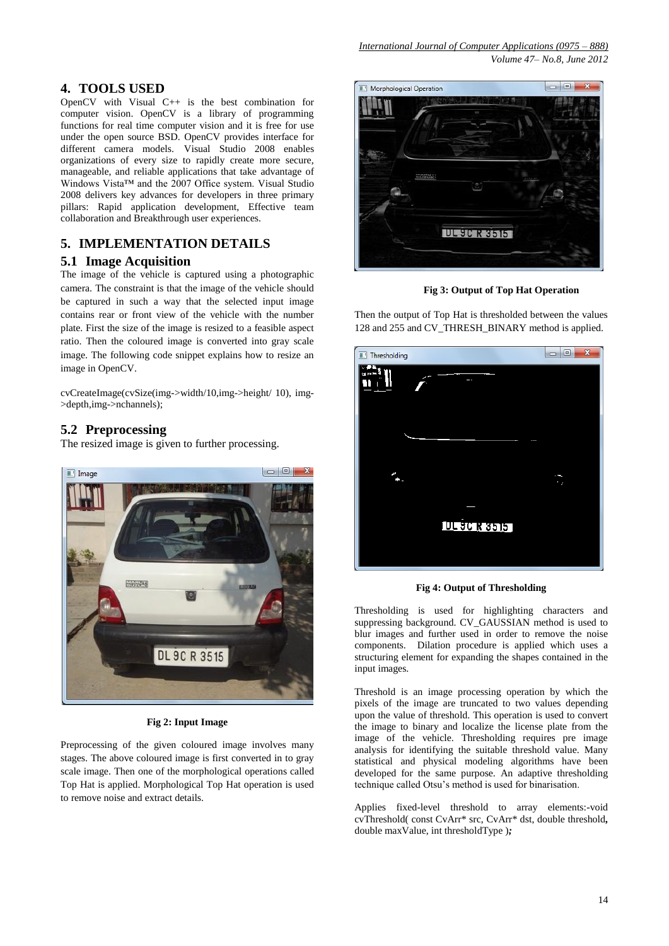# **4. TOOLS USED**

OpenCV with Visual C++ is the best combination for computer vision. OpenCV is a library of programming functions for real time computer vision and it is free for use under the open source BSD. OpenCV provides interface for different camera models. Visual Studio 2008 enables organizations of every size to rapidly create more secure, manageable, and reliable applications that take advantage of Windows Vista™ and the 2007 Office system. Visual Studio 2008 delivers key advances for developers in three primary pillars: Rapid application development, Effective team collaboration and Breakthrough user experiences.

# **5. IMPLEMENTATION DETAILS**

# **5.1 Image Acquisition**

The image of the vehicle is captured using a photographic camera. The constraint is that the image of the vehicle should be captured in such a way that the selected input image contains rear or front view of the vehicle with the number plate. First the size of the image is resized to a feasible aspect ratio. Then the coloured image is converted into gray scale image. The following code snippet explains how to resize an image in OpenCV.

cvCreateImage(cvSize(img->width/10,img->height/ 10), img- >depth,img->nchannels);

# **5.2 Preprocessing**

The resized image is given to further processing.



# **Fig 2: Input Image**

Preprocessing of the given coloured image involves many stages. The above coloured image is first converted in to gray scale image. Then one of the morphological operations called Top Hat is applied. Morphological Top Hat operation is used to remove noise and extract details.



**Fig 3: Output of Top Hat Operation**

Then the output of Top Hat is thresholded between the values 128 and 255 and CV\_THRESH\_BINARY method is applied.



**Fig 4: Output of Thresholding**

Thresholding is used for highlighting characters and suppressing background. CV\_GAUSSIAN method is used to blur images and further used in order to remove the noise components. Dilation procedure is applied which uses a structuring element for expanding the shapes contained in the input images.

Threshold is an image processing operation by which the pixels of the image are truncated to two values depending upon the value of threshold. This operation is used to convert the image to binary and localize the license plate from the image of the vehicle. Thresholding requires pre image analysis for identifying the suitable threshold value. Many statistical and physical modeling algorithms have been developed for the same purpose. An adaptive thresholding technique called Otsu's method is used for binarisation.

Applies fixed-level threshold to array elements:-void cvThreshold( const CvArr\* src, CvArr\* dst, double threshold*,*  double maxValue, int thresholdType )*;*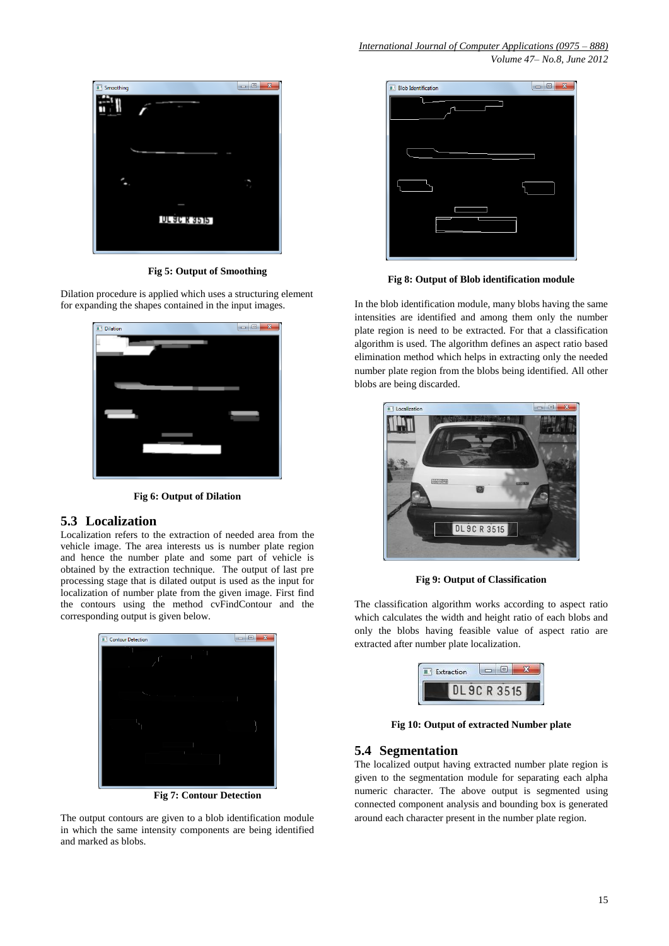*Volume 47– No.8, June 2012*



**Fig 5: Output of Smoothing**

Dilation procedure is applied which uses a structuring element for expanding the shapes contained in the input images.



**Fig 6: Output of Dilation**

# **5.3 Localization**

Localization refers to the extraction of needed area from the vehicle image. The area interests us is number plate region and hence the number plate and some part of vehicle is obtained by the extraction technique. The output of last pre processing stage that is dilated output is used as the input for localization of number plate from the given image. First find the contours using the method cvFindContour and the corresponding output is given below.



**Fig 7: Contour Detection**

The output contours are given to a blob identification module in which the same intensity components are being identified and marked as blobs.



**Fig 8: Output of Blob identification module**

In the blob identification module, many blobs having the same intensities are identified and among them only the number plate region is need to be extracted. For that a classification algorithm is used. The algorithm defines an aspect ratio based elimination method which helps in extracting only the needed number plate region from the blobs being identified. All other blobs are being discarded.



**Fig 9: Output of Classification**

The classification algorithm works according to aspect ratio which calculates the width and height ratio of each blobs and only the blobs having feasible value of aspect ratio are extracted after number plate localization.

| Extraction |  |  |
|------------|--|--|
|            |  |  |

**Fig 10: Output of extracted Number plate**

# **5.4 Segmentation**

The localized output having extracted number plate region is given to the segmentation module for separating each alpha numeric character. The above output is segmented using connected component analysis and bounding box is generated around each character present in the number plate region.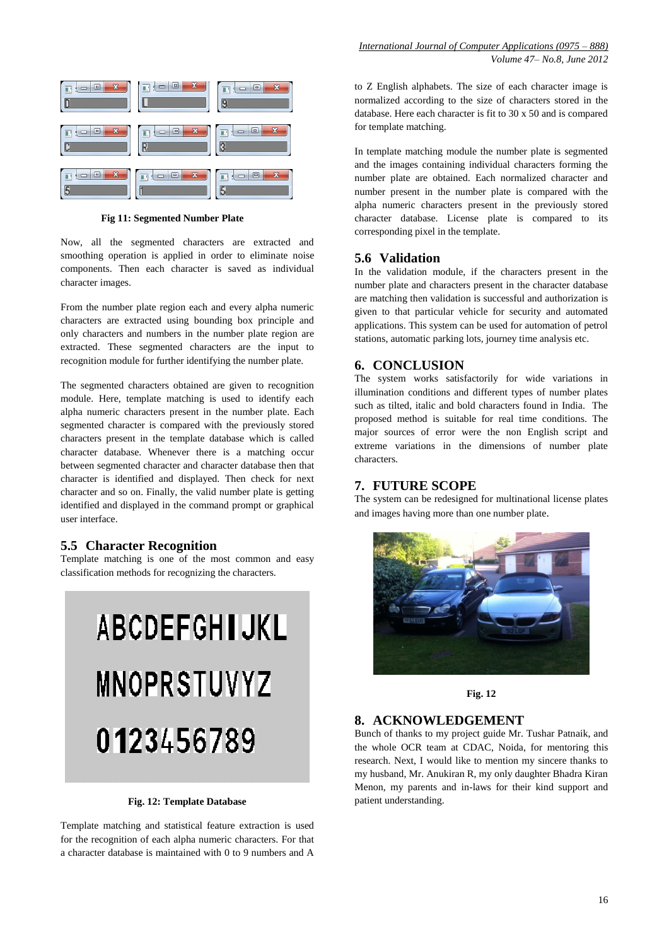

**Fig 11: Segmented Number Plate**

Now, all the segmented characters are extracted and smoothing operation is applied in order to eliminate noise components. Then each character is saved as individual character images.

From the number plate region each and every alpha numeric characters are extracted using bounding box principle and only characters and numbers in the number plate region are extracted. These segmented characters are the input to recognition module for further identifying the number plate.

The segmented characters obtained are given to recognition module. Here, template matching is used to identify each alpha numeric characters present in the number plate. Each segmented character is compared with the previously stored characters present in the template database which is called character database. Whenever there is a matching occur between segmented character and character database then that character is identified and displayed. Then check for next character and so on. Finally, the valid number plate is getting identified and displayed in the command prompt or graphical user interface.

#### **5.5 Character Recognition**

Template matching is one of the most common and easy classification methods for recognizing the characters.

# **ABCDEFGHIJKL MNOPRSTUVYZ** 0123456789

#### **Fig. 12: Template Database**

Template matching and statistical feature extraction is used for the recognition of each alpha numeric characters. For that a character database is maintained with 0 to 9 numbers and A

to Z English alphabets. The size of each character image is normalized according to the size of characters stored in the database. Here each character is fit to 30 x 50 and is compared for template matching.

In template matching module the number plate is segmented and the images containing individual characters forming the number plate are obtained. Each normalized character and number present in the number plate is compared with the alpha numeric characters present in the previously stored character database. License plate is compared to its corresponding pixel in the template.

## **5.6 Validation**

In the validation module, if the characters present in the number plate and characters present in the character database are matching then validation is successful and authorization is given to that particular vehicle for security and automated applications. This system can be used for automation of petrol stations, automatic parking lots, journey time analysis etc.

#### **6. CONCLUSION**

The system works satisfactorily for wide variations in illumination conditions and different types of number plates such as tilted, italic and bold characters found in India. The proposed method is suitable for real time conditions. The major sources of error were the non English script and extreme variations in the dimensions of number plate characters.

# **7. FUTURE SCOPE**

The system can be redesigned for multinational license plates and images having more than one number plate.





#### **8. ACKNOWLEDGEMENT**

Bunch of thanks to my project guide Mr. Tushar Patnaik, and the whole OCR team at CDAC, Noida, for mentoring this research. Next, I would like to mention my sincere thanks to my husband, Mr. Anukiran R, my only daughter Bhadra Kiran Menon, my parents and in-laws for their kind support and patient understanding.